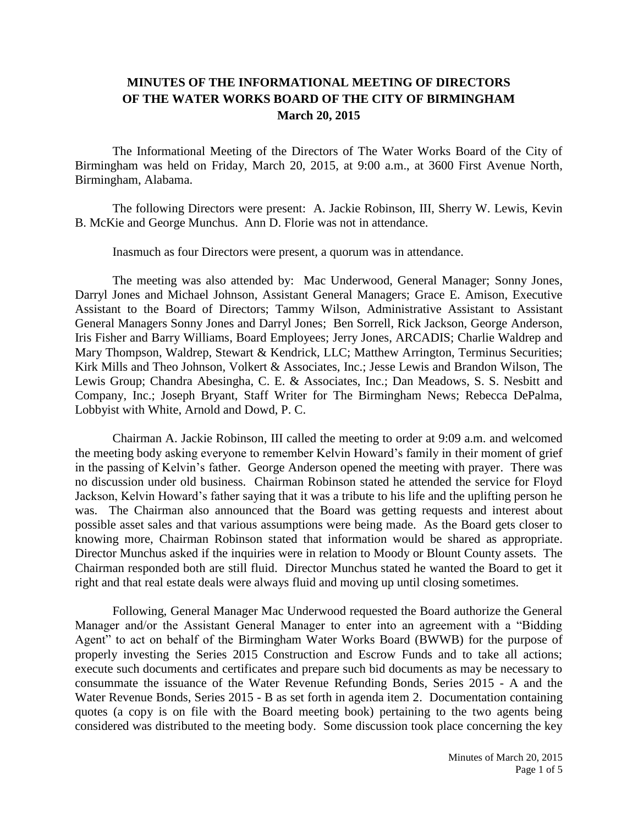## **MINUTES OF THE INFORMATIONAL MEETING OF DIRECTORS OF THE WATER WORKS BOARD OF THE CITY OF BIRMINGHAM March 20, 2015**

The Informational Meeting of the Directors of The Water Works Board of the City of Birmingham was held on Friday, March 20, 2015, at 9:00 a.m., at 3600 First Avenue North, Birmingham, Alabama.

The following Directors were present: A. Jackie Robinson, III, Sherry W. Lewis, Kevin B. McKie and George Munchus. Ann D. Florie was not in attendance.

Inasmuch as four Directors were present, a quorum was in attendance.

The meeting was also attended by: Mac Underwood, General Manager; Sonny Jones, Darryl Jones and Michael Johnson, Assistant General Managers; Grace E. Amison, Executive Assistant to the Board of Directors; Tammy Wilson, Administrative Assistant to Assistant General Managers Sonny Jones and Darryl Jones; Ben Sorrell, Rick Jackson, George Anderson, Iris Fisher and Barry Williams, Board Employees; Jerry Jones, ARCADIS; Charlie Waldrep and Mary Thompson, Waldrep, Stewart & Kendrick, LLC; Matthew Arrington, Terminus Securities; Kirk Mills and Theo Johnson, Volkert & Associates, Inc.; Jesse Lewis and Brandon Wilson, The Lewis Group; Chandra Abesingha, C. E. & Associates, Inc.; Dan Meadows, S. S. Nesbitt and Company, Inc.; Joseph Bryant, Staff Writer for The Birmingham News; Rebecca DePalma, Lobbyist with White, Arnold and Dowd, P. C.

Chairman A. Jackie Robinson, III called the meeting to order at 9:09 a.m. and welcomed the meeting body asking everyone to remember Kelvin Howard's family in their moment of grief in the passing of Kelvin's father. George Anderson opened the meeting with prayer. There was no discussion under old business. Chairman Robinson stated he attended the service for Floyd Jackson, Kelvin Howard's father saying that it was a tribute to his life and the uplifting person he was. The Chairman also announced that the Board was getting requests and interest about possible asset sales and that various assumptions were being made. As the Board gets closer to knowing more, Chairman Robinson stated that information would be shared as appropriate. Director Munchus asked if the inquiries were in relation to Moody or Blount County assets. The Chairman responded both are still fluid. Director Munchus stated he wanted the Board to get it right and that real estate deals were always fluid and moving up until closing sometimes.

Following, General Manager Mac Underwood requested the Board authorize the General Manager and/or the Assistant General Manager to enter into an agreement with a "Bidding Agent" to act on behalf of the Birmingham Water Works Board (BWWB) for the purpose of properly investing the Series 2015 Construction and Escrow Funds and to take all actions; execute such documents and certificates and prepare such bid documents as may be necessary to consummate the issuance of the Water Revenue Refunding Bonds, Series 2015 - A and the Water Revenue Bonds, Series 2015 - B as set forth in agenda item 2. Documentation containing quotes (a copy is on file with the Board meeting book) pertaining to the two agents being considered was distributed to the meeting body. Some discussion took place concerning the key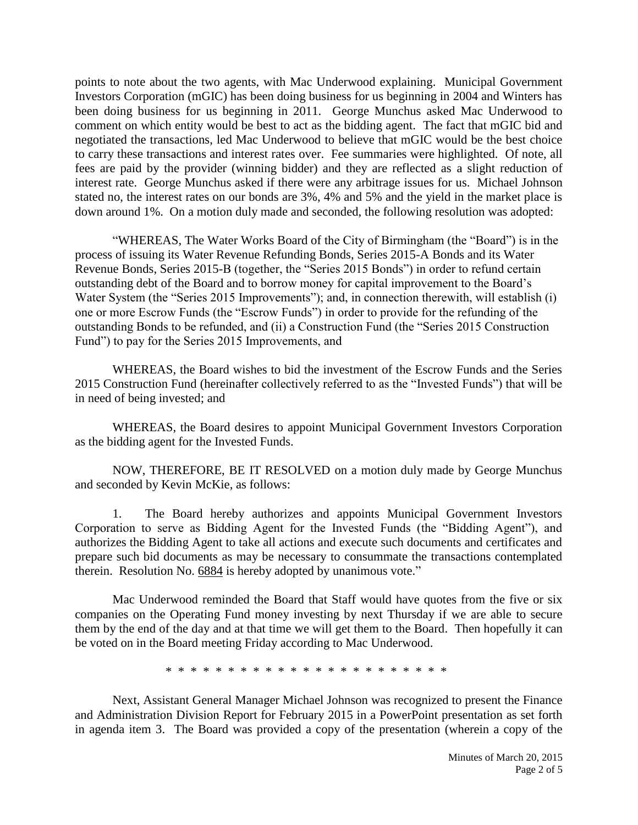points to note about the two agents, with Mac Underwood explaining. Municipal Government Investors Corporation (mGIC) has been doing business for us beginning in 2004 and Winters has been doing business for us beginning in 2011. George Munchus asked Mac Underwood to comment on which entity would be best to act as the bidding agent. The fact that mGIC bid and negotiated the transactions, led Mac Underwood to believe that mGIC would be the best choice to carry these transactions and interest rates over. Fee summaries were highlighted. Of note, all fees are paid by the provider (winning bidder) and they are reflected as a slight reduction of interest rate. George Munchus asked if there were any arbitrage issues for us. Michael Johnson stated no, the interest rates on our bonds are 3%, 4% and 5% and the yield in the market place is down around 1%. On a motion duly made and seconded, the following resolution was adopted:

"WHEREAS, The Water Works Board of the City of Birmingham (the "Board") is in the process of issuing its Water Revenue Refunding Bonds, Series 2015-A Bonds and its Water Revenue Bonds, Series 2015-B (together, the "Series 2015 Bonds") in order to refund certain outstanding debt of the Board and to borrow money for capital improvement to the Board's Water System (the "Series 2015 Improvements"); and, in connection therewith, will establish (i) one or more Escrow Funds (the "Escrow Funds") in order to provide for the refunding of the outstanding Bonds to be refunded, and (ii) a Construction Fund (the "Series 2015 Construction Fund") to pay for the Series 2015 Improvements, and

WHEREAS, the Board wishes to bid the investment of the Escrow Funds and the Series 2015 Construction Fund (hereinafter collectively referred to as the "Invested Funds") that will be in need of being invested; and

WHEREAS, the Board desires to appoint Municipal Government Investors Corporation as the bidding agent for the Invested Funds.

NOW, THEREFORE, BE IT RESOLVED on a motion duly made by George Munchus and seconded by Kevin McKie, as follows:

1. The Board hereby authorizes and appoints Municipal Government Investors Corporation to serve as Bidding Agent for the Invested Funds (the "Bidding Agent"), and authorizes the Bidding Agent to take all actions and execute such documents and certificates and prepare such bid documents as may be necessary to consummate the transactions contemplated therein. Resolution No. 6884 is hereby adopted by unanimous vote."

Mac Underwood reminded the Board that Staff would have quotes from the five or six companies on the Operating Fund money investing by next Thursday if we are able to secure them by the end of the day and at that time we will get them to the Board. Then hopefully it can be voted on in the Board meeting Friday according to Mac Underwood.

\* \* \* \* \* \* \* \* \* \* \* \* \* \* \* \* \* \* \* \* \* \* \*

Next, Assistant General Manager Michael Johnson was recognized to present the Finance and Administration Division Report for February 2015 in a PowerPoint presentation as set forth in agenda item 3. The Board was provided a copy of the presentation (wherein a copy of the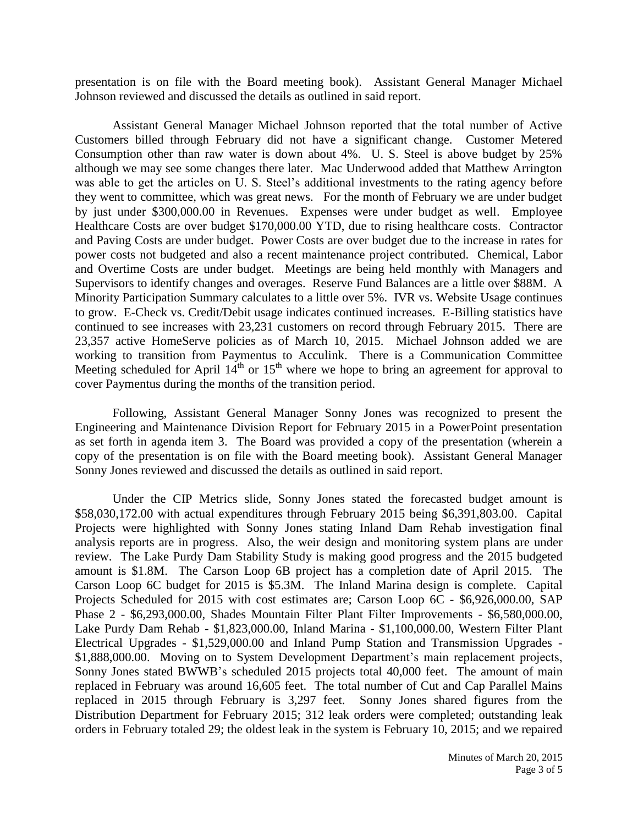presentation is on file with the Board meeting book). Assistant General Manager Michael Johnson reviewed and discussed the details as outlined in said report.

Assistant General Manager Michael Johnson reported that the total number of Active Customers billed through February did not have a significant change. Customer Metered Consumption other than raw water is down about 4%. U. S. Steel is above budget by 25% although we may see some changes there later. Mac Underwood added that Matthew Arrington was able to get the articles on U. S. Steel's additional investments to the rating agency before they went to committee, which was great news. For the month of February we are under budget by just under \$300,000.00 in Revenues. Expenses were under budget as well. Employee Healthcare Costs are over budget \$170,000.00 YTD, due to rising healthcare costs. Contractor and Paving Costs are under budget. Power Costs are over budget due to the increase in rates for power costs not budgeted and also a recent maintenance project contributed. Chemical, Labor and Overtime Costs are under budget. Meetings are being held monthly with Managers and Supervisors to identify changes and overages. Reserve Fund Balances are a little over \$88M. A Minority Participation Summary calculates to a little over 5%. IVR vs. Website Usage continues to grow. E-Check vs. Credit/Debit usage indicates continued increases. E-Billing statistics have continued to see increases with 23,231 customers on record through February 2015. There are 23,357 active HomeServe policies as of March 10, 2015. Michael Johnson added we are working to transition from Paymentus to Acculink. There is a Communication Committee Meeting scheduled for April  $14<sup>th</sup>$  or  $15<sup>th</sup>$  where we hope to bring an agreement for approval to cover Paymentus during the months of the transition period.

Following, Assistant General Manager Sonny Jones was recognized to present the Engineering and Maintenance Division Report for February 2015 in a PowerPoint presentation as set forth in agenda item 3. The Board was provided a copy of the presentation (wherein a copy of the presentation is on file with the Board meeting book). Assistant General Manager Sonny Jones reviewed and discussed the details as outlined in said report.

Under the CIP Metrics slide, Sonny Jones stated the forecasted budget amount is \$58,030,172.00 with actual expenditures through February 2015 being \$6,391,803.00. Capital Projects were highlighted with Sonny Jones stating Inland Dam Rehab investigation final analysis reports are in progress. Also, the weir design and monitoring system plans are under review. The Lake Purdy Dam Stability Study is making good progress and the 2015 budgeted amount is \$1.8M. The Carson Loop 6B project has a completion date of April 2015. The Carson Loop 6C budget for 2015 is \$5.3M. The Inland Marina design is complete. Capital Projects Scheduled for 2015 with cost estimates are; Carson Loop 6C - \$6,926,000.00, SAP Phase 2 - \$6,293,000.00, Shades Mountain Filter Plant Filter Improvements - \$6,580,000.00, Lake Purdy Dam Rehab - \$1,823,000.00, Inland Marina - \$1,100,000.00, Western Filter Plant Electrical Upgrades - \$1,529,000.00 and Inland Pump Station and Transmission Upgrades - \$1,888,000.00. Moving on to System Development Department's main replacement projects, Sonny Jones stated BWWB's scheduled 2015 projects total 40,000 feet. The amount of main replaced in February was around 16,605 feet. The total number of Cut and Cap Parallel Mains replaced in 2015 through February is 3,297 feet. Sonny Jones shared figures from the Distribution Department for February 2015; 312 leak orders were completed; outstanding leak orders in February totaled 29; the oldest leak in the system is February 10, 2015; and we repaired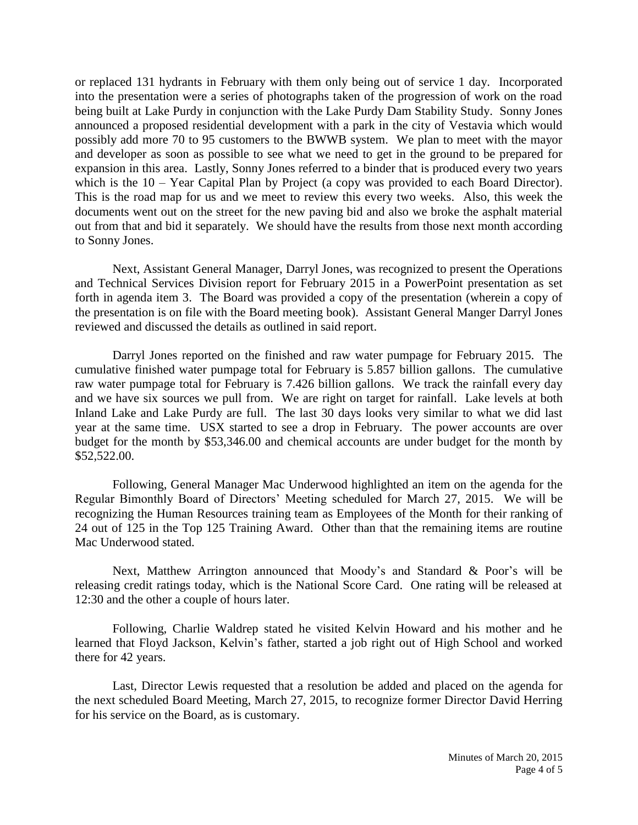or replaced 131 hydrants in February with them only being out of service 1 day. Incorporated into the presentation were a series of photographs taken of the progression of work on the road being built at Lake Purdy in conjunction with the Lake Purdy Dam Stability Study. Sonny Jones announced a proposed residential development with a park in the city of Vestavia which would possibly add more 70 to 95 customers to the BWWB system. We plan to meet with the mayor and developer as soon as possible to see what we need to get in the ground to be prepared for expansion in this area. Lastly, Sonny Jones referred to a binder that is produced every two years which is the 10 – Year Capital Plan by Project (a copy was provided to each Board Director). This is the road map for us and we meet to review this every two weeks. Also, this week the documents went out on the street for the new paving bid and also we broke the asphalt material out from that and bid it separately. We should have the results from those next month according to Sonny Jones.

Next, Assistant General Manager, Darryl Jones, was recognized to present the Operations and Technical Services Division report for February 2015 in a PowerPoint presentation as set forth in agenda item 3. The Board was provided a copy of the presentation (wherein a copy of the presentation is on file with the Board meeting book). Assistant General Manger Darryl Jones reviewed and discussed the details as outlined in said report.

Darryl Jones reported on the finished and raw water pumpage for February 2015. The cumulative finished water pumpage total for February is 5.857 billion gallons. The cumulative raw water pumpage total for February is 7.426 billion gallons. We track the rainfall every day and we have six sources we pull from. We are right on target for rainfall. Lake levels at both Inland Lake and Lake Purdy are full. The last 30 days looks very similar to what we did last year at the same time. USX started to see a drop in February. The power accounts are over budget for the month by \$53,346.00 and chemical accounts are under budget for the month by \$52,522.00.

Following, General Manager Mac Underwood highlighted an item on the agenda for the Regular Bimonthly Board of Directors' Meeting scheduled for March 27, 2015. We will be recognizing the Human Resources training team as Employees of the Month for their ranking of 24 out of 125 in the Top 125 Training Award. Other than that the remaining items are routine Mac Underwood stated.

Next, Matthew Arrington announced that Moody's and Standard & Poor's will be releasing credit ratings today, which is the National Score Card. One rating will be released at 12:30 and the other a couple of hours later.

Following, Charlie Waldrep stated he visited Kelvin Howard and his mother and he learned that Floyd Jackson, Kelvin's father, started a job right out of High School and worked there for 42 years.

Last, Director Lewis requested that a resolution be added and placed on the agenda for the next scheduled Board Meeting, March 27, 2015, to recognize former Director David Herring for his service on the Board, as is customary.